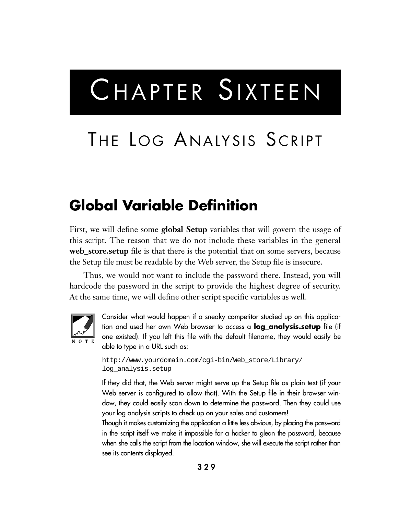# CHAPTER SIXTEEN

## THE LOG ANALYSIS SCRIPT

#### **Global Variable Definition**

First, we will define some **global Setup** variables that will govern the usage of this script. The reason that we do not include these variables in the general **web\_store.setup** file is that there is the potential that on some servers, because the Setup file must be readable by the Web server, the Setup file is insecure.

Thus, we would not want to include the password there. Instead, you will hardcode the password in the script to provide the highest degree of security. At the same time, we will define other script specific variables as well.



Consider what would happen if a sneaky competitor studied up on this application and used her own Web browser to access a **log\_analysis.setup** file (if one existed). If you left this file with the default filename, they would easily be able to type in a URL such as:

```
http://www.yourdomain.com/cgi-bin/Web_store/Library/
log_analysis.setup
```
If they did that, the Web server might serve up the Setup file as plain text (if your Web server is configured to allow that). With the Setup file in their browser window, they could easily scan down to determine the password. Then they could use your log analysis scripts to check up on your sales and customers!

Though it makes customizing the application a little less obvious, by placing the password in the script itself we make it impossible for a hacker to glean the password, because when she calls the script from the location window, she will execute the script rather than see its contents displayed.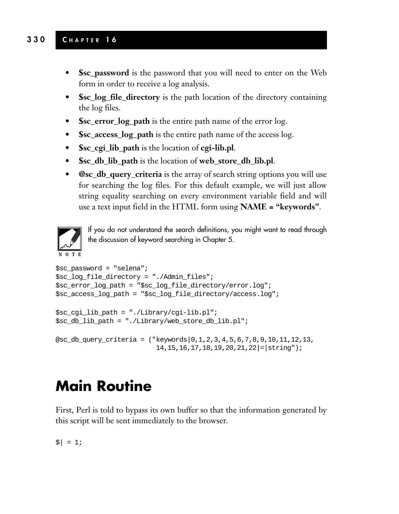#### **330 C HAPTER 1 6**

- **\$sc\_password** is the password that you will need to enter on the Web form in order to receive a log analysis.
- **Ssc** log file directory is the path location of the directory containing the log files.
- **\$sc\_error\_log\_path** is the entire path name of the error log.
- **\$sc\_access\_log\_path** is the entire path name of the access log.
- **\$sc\_cgi\_lib\_path** is the location of **cgi-lib.pl**.
- **\$sc\_db\_lib\_path** is the location of **web\_store\_db\_lib.pl**.
- **@sc\_db\_query\_criteria** is the array of search string options you will use for searching the log files. For this default example, we will just allow string equality searching on every environment variable field and will use a text input field in the HTML form using **NAME = "keywords"**.



If you do not understand the search definitions, you might want to read through the discussion of keyword searching in Chapter 5.

14,15,16,17,18,19,20,21,22|=|string");

```
$sc_password = "selena";
$sc log file directory = "./Admin files";
$sc_error_log_path = "$sc_log_file_directory/error.log";
$sc_access_log_path = "$sc_log_file_directory/access.log";
$sc_cgi_lib_path = "./Library/cgi-lib.pl";
$sc_db_lib_path = "./Library/web_store_db_lib.pl";
@sc_db_query_criteria = ("keywords|0,1,2,3,4,5,6,7,8,9,10,11,12,13,
```
### **Main Routine**

First, Perl is told to bypass its own buffer so that the information generated by this script will be sent immediately to the browser.

 $| = 1;$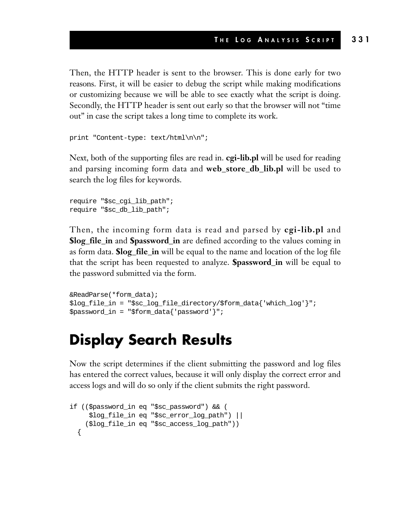Then, the HTTP header is sent to the browser. This is done early for two reasons. First, it will be easier to debug the script while making modifications or customizing because we will be able to see exactly what the script is doing. Secondly, the HTTP header is sent out early so that the browser will not "time out" in case the script takes a long time to complete its work.

```
print "Content-type: text/html\n\n";
```
Next, both of the supporting files are read in. **cgi-lib.pl** will be used for reading and parsing incoming form data and **web\_store\_db\_lib.pl** will be used to search the log files for keywords.

```
require "$sc_cgi_lib_path";
require "$sc_db_lib_path";
```
Then, the incoming form data is read and parsed by **cgi-lib.pl** and **\$log\_file\_in** and **\$password\_in** are defined according to the values coming in as form data. **\$log\_file\_in** will be equal to the name and location of the log file that the script has been requested to analyze. **\$password\_in** will be equal to the password submitted via the form.

```
&ReadParse(*form_data);
$log_file_in = "$sc_log_file_directory/$form_data{'which_log'}";
$password in = "$form data{'password'}";
```
#### **Display Search Results**

Now the script determines if the client submitting the password and log files has entered the correct values, because it will only display the correct error and access logs and will do so only if the client submits the right password.

```
if (($password_in eq "$sc_password") && (
     $log file in eq "$sc error log path") ||
    ($log_file_in eq "$sc_access_log_path"))
  {
```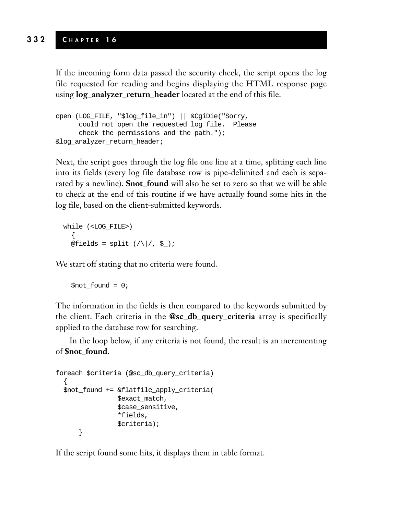If the incoming form data passed the security check, the script opens the log file requested for reading and begins displaying the HTML response page using **log\_analyzer\_return\_header** located at the end of this file.

```
open (LOG_FILE, "$log_file_in") || &CgiDie("Sorry,
     could not open the requested log file. Please
     check the permissions and the path.");
&log_analyzer_return_header;
```
Next, the script goes through the log file one line at a time, splitting each line into its fields (every log file database row is pipe-delimited and each is separated by a newline). **\$not\_found** will also be set to zero so that we will be able to check at the end of this routine if we have actually found some hits in the log file, based on the client-submitted keywords.

```
while (<LOG_FILE>)
  {
  @fields = split (|\rangle|/, \xi|);
```
We start off stating that no criteria were found.

```
$not found = 0;
```
The information in the fields is then compared to the keywords submitted by the client. Each criteria in the **@sc\_db\_query\_criteria** array is specifically applied to the database row for searching.

In the loop below, if any criteria is not found, the result is an incrementing of **\$not\_found**.

```
foreach $criteria (@sc_db_query_criteria)
  {
  $not_found += &flatfile_apply_criteria(
                $exact_match,
                $case_sensitive,
                *fields,
                $criteria);
      }
```
If the script found some hits, it displays them in table format.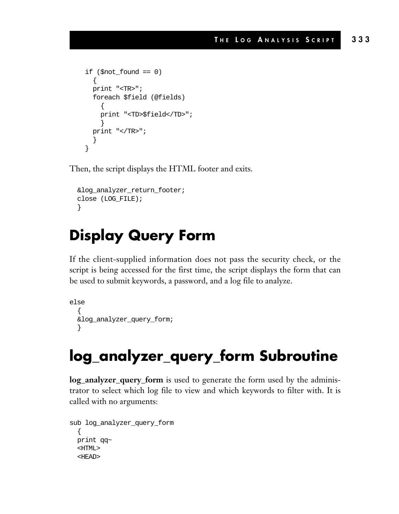```
if (\text{short} found == 0){
 print "<TR>";
  foreach $field (@fields)
    {
    print "<TD>$field</TD>";
    }
 print "</TR>";
  }
}
```
Then, the script displays the HTML footer and exits.

```
&log_analyzer_return_footer;
close (LOG_FILE);
}
```
#### **Display Query Form**

If the client-supplied information does not pass the security check, or the script is being accessed for the first time, the script displays the form that can be used to submit keywords, a password, and a log file to analyze.

```
else
  {
  &log_analyzer_query_form;
  }
```
## **log\_analyzer\_query\_form Subroutine**

**log\_analyzer\_query\_form** is used to generate the form used by the administrator to select which log file to view and which keywords to filter with. It is called with no arguments:

```
sub log_analyzer_query_form
  \{print qq~
 <HTML>
  <HEAD>
```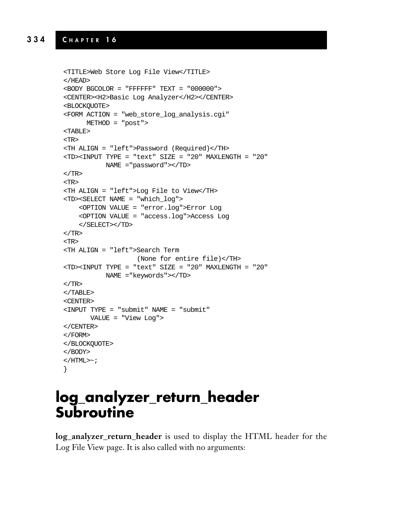#### **334 C HAPTER 1 6**

```
<TITLE>Web Store Log File View</TITLE>
</HEAD>
<BODY BGCOLOR = "FFFFFF" TEXT = "000000">
<CENTER><H2>Basic Log Analyzer</H2></CENTER>
<BLOCKQUOTE>
<FORM ACTION = "web_store_log_analysis.cgi"
     METHOD = "post">
<TABLE>
<TR>
<TH ALIGN = "left">Password (Required)</TH>
<TD><INPUT TYPE = "text" SIZE = "20" MAXLENGTH = "20"
          NAME ="password"></TD>
</TR><TR>
<TH ALIGN = "left">Log File to View</TH>
<TD><SELECT NAME = "which_log">
    <OPTION VALUE = "error.log">Error Log
    <OPTION VALUE = "access.log">Access Log
    </SELECT></TD>
</TR><TR>
<TH ALIGN = "left">Search Term
                   (None for entire file)</TH>
<TD><INPUT TYPE = "text" SIZE = "20" MAXLENGTH = "20"
         NAME ="keywords"></TD>
</TR></TABLE>
<CENTER>
<INPUT TYPE = "submit" NAME = "submit"
      VALUE = "View Log">
</CENTER>
</FORM>
</BLOCKQUOTE>
</BODY>
< /HTML>\sim ;
}
```
#### **log\_analyzer\_return\_header Subroutine**

**log\_analyzer\_return\_header** is used to display the HTML header for the Log File View page. It is also called with no arguments: